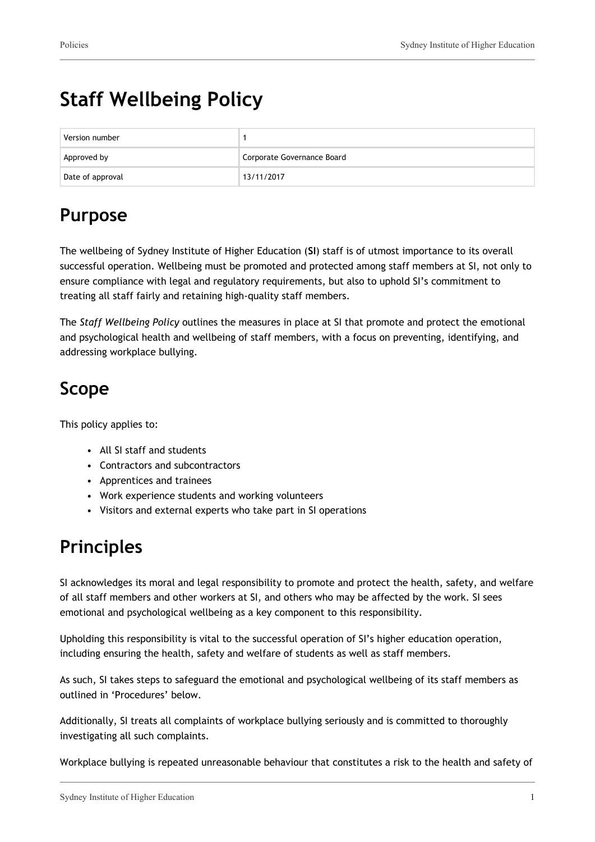# **Staff Wellbeing Policy**

| Version number   |                            |
|------------------|----------------------------|
| Approved by      | Corporate Governance Board |
| Date of approval | 13/11/2017                 |

# **Purpose**

The wellbeing of Sydney Institute of Higher Education (**SI**) staff is of utmost importance to its overall successful operation. Wellbeing must be promoted and protected among staff members at SI, not only to ensure compliance with legal and regulatory requirements, but also to uphold SI's commitment to treating all staff fairly and retaining high-quality staff members.

The *Staff Wellbeing Policy* outlines the measures in place at SI that promote and protect the emotional and psychological health and wellbeing of staff members, with a focus on preventing, identifying, and addressing workplace bullying.

# **Scope**

This policy applies to:

- All SI staff and students
- Contractors and subcontractors
- Apprentices and trainees
- Work experience students and working volunteers
- Visitors and external experts who take part in SI operations

# **Principles**

SI acknowledges its moral and legal responsibility to promote and protect the health, safety, and welfare of all staff members and other workers at SI, and others who may be affected by the work. SI sees emotional and psychological wellbeing as a key component to this responsibility.

Upholding this responsibility is vital to the successful operation of SI's higher education operation, including ensuring the health, safety and welfare of students as well as staff members.

As such, SI takes steps to safeguard the emotional and psychological wellbeing of its staff members as outlined in 'Procedures' below.

Additionally, SI treats all complaints of workplace bullying seriously and is committed to thoroughly investigating all such complaints.

Workplace bullying is repeated unreasonable behaviour that constitutes a risk to the health and safety of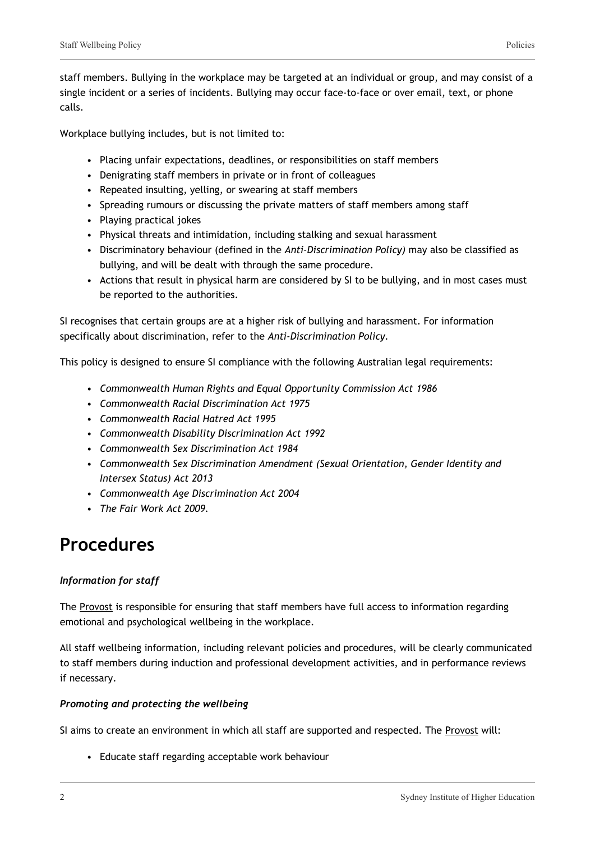Workplace bullying includes, but is not limited to:

- Placing unfair expectations, deadlines, or responsibilities on staff members
- Denigrating staff members in private or in front of colleagues
- Repeated insulting, yelling, or swearing at staff members
- Spreading rumours or discussing the private matters of staff members among staff
- Playing practical jokes
- Physical threats and intimidation, including stalking and sexual harassment
- Discriminatory behaviour (defined in the *Anti-Discrimination Policy)* may also be classified as bullying, and will be dealt with through the same procedure.
- Actions that result in physical harm are considered by SI to be bullying, and in most cases must be reported to the authorities.

SI recognises that certain groups are at a higher risk of bullying and harassment. For information specifically about discrimination, refer to the *Anti-Discrimination Policy.*

This policy is designed to ensure SI compliance with the following Australian legal requirements:

- *Commonwealth Human Rights and Equal Opportunity Commission Act 1986*
- *Commonwealth Racial Discrimination Act 1975*
- *Commonwealth Racial Hatred Act 1995*
- *Commonwealth Disability Discrimination Act 1992*
- *Commonwealth Sex Discrimination Act 1984*
- *Commonwealth Sex Discrimination Amendment (Sexual Orientation, Gender Identity and Intersex Status) Act 2013*
- *Commonwealth Age Discrimination Act 2004*
- *The Fair Work Act 2009.*

## **Procedures**

### *Information for staff*

The Provost is responsible for ensuring that staff members have full access to information regarding emotional and psychological wellbeing in the workplace.

All staff wellbeing information, including relevant policies and procedures, will be clearly communicated to staff members during induction and professional development activities, and in performance reviews if necessary.

### *Promoting and protecting the wellbeing*

SI aims to create an environment in which all staff are supported and respected. The Provost will:

• Educate staff regarding acceptable work behaviour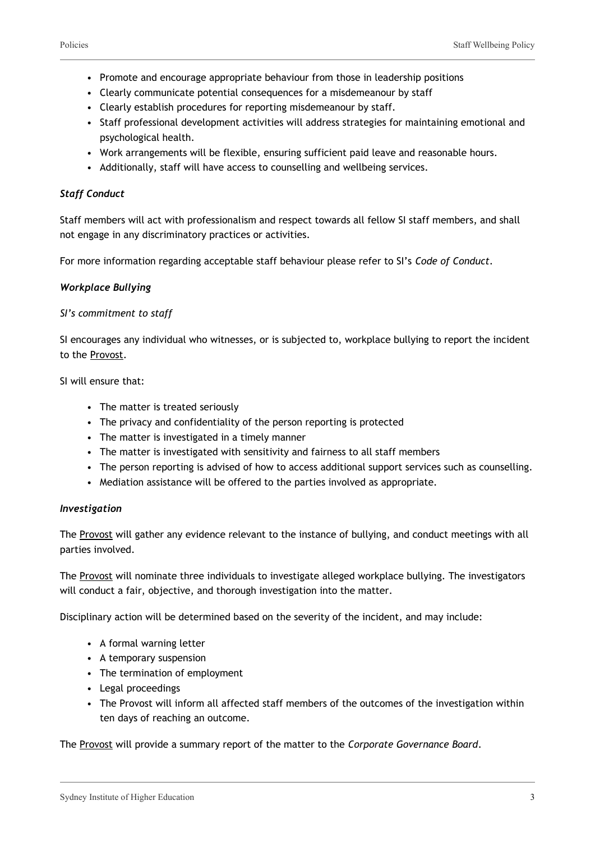- Promote and encourage appropriate behaviour from those in leadership positions
- Clearly communicate potential consequences for a misdemeanour by staff
- Clearly establish procedures for reporting misdemeanour by staff.
- Staff professional development activities will address strategies for maintaining emotional and psychological health.
- Work arrangements will be flexible, ensuring sufficient paid leave and reasonable hours.
- Additionally, staff will have access to counselling and wellbeing services.

#### *Staff Conduct*

Staff members will act with professionalism and respect towards all fellow SI staff members, and shall not engage in any discriminatory practices or activities.

For more information regarding acceptable staff behaviour please refer to SI's *Code of Conduct*.

#### *Workplace Bullying*

#### *SI's commitment to staff*

SI encourages any individual who witnesses, or is subjected to, workplace bullying to report the incident to the Provost.

SI will ensure that:

- The matter is treated seriously
- The privacy and confidentiality of the person reporting is protected
- The matter is investigated in a timely manner
- The matter is investigated with sensitivity and fairness to all staff members
- The person reporting is advised of how to access additional support services such as counselling.
- Mediation assistance will be offered to the parties involved as appropriate.

#### *Investigation*

The Provost will gather any evidence relevant to the instance of bullying, and conduct meetings with all parties involved.

The Provost will nominate three individuals to investigate alleged workplace bullying. The investigators will conduct a fair, objective, and thorough investigation into the matter.

Disciplinary action will be determined based on the severity of the incident, and may include:

- A formal warning letter
- A temporary suspension
- The termination of employment
- Legal proceedings
- The Provost will inform all affected staff members of the outcomes of the investigation within ten days of reaching an outcome.

The Provost will provide a summary report of the matter to the *Corporate Governance Board*.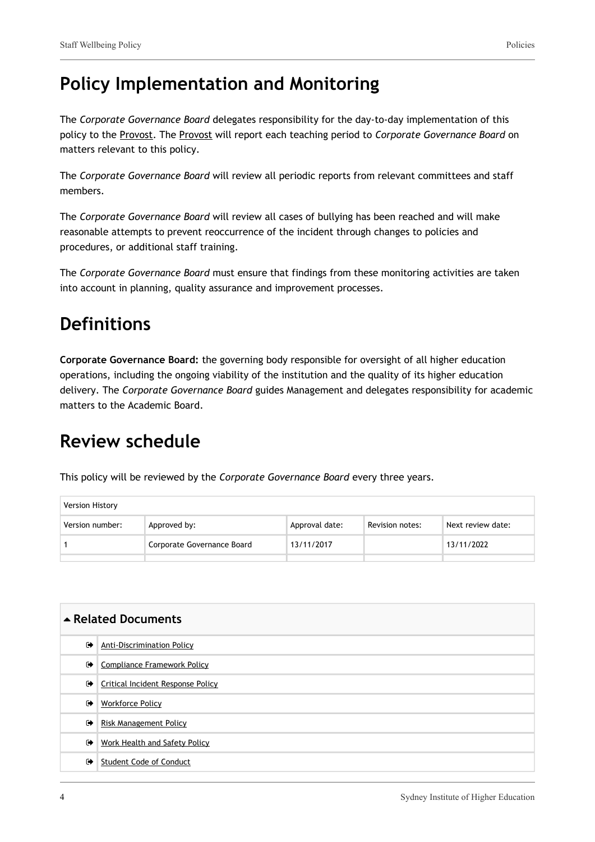## **Policy Implementation and Monitoring**

The *Corporate Governance Board* delegates responsibility for the day-to-day implementation of this policy to the Provost. The Provost will report each teaching period to *Corporate Governance Board* on matters relevant to this policy.

The *Corporate Governance Board* will review all periodic reports from relevant committees and staff members.

The *Corporate Governance Board* will review all cases of bullying has been reached and will make reasonable attempts to prevent reoccurrence of the incident through changes to policies and procedures, or additional staff training.

The *Corporate Governance Board* must ensure that findings from these monitoring activities are taken into account in planning, quality assurance and improvement processes.

### **Definitions**

**Corporate Governance Board:** the governing body responsible for oversight of all higher education operations, including the ongoing viability of the institution and the quality of its higher education delivery. The *Corporate Governance Board* guides Management and delegates responsibility for academic matters to the Academic Board.

### **Review schedule**

This policy will be reviewed by the *Corporate Governance Board* every three years.

| <b>Version History</b> |  |                            |                |                 |                   |
|------------------------|--|----------------------------|----------------|-----------------|-------------------|
| Version number:        |  | Approved by:               | Approval date: | Revision notes: | Next review date: |
|                        |  | Corporate Governance Board | 13/11/2017     |                 | 13/11/2022        |
|                        |  |                            |                |                 |                   |

| ▲ Related Documents  |                                          |  |  |
|----------------------|------------------------------------------|--|--|
| $\bullet$            | <b>Anti-Discrimination Policy</b>        |  |  |
| $\bullet$            | <b>Compliance Framework Policy</b>       |  |  |
| ☞                    | <b>Critical Incident Response Policy</b> |  |  |
| $\ddot{\phantom{1}}$ | <b>Workforce Policy</b>                  |  |  |
| $\bullet$            | Risk Management Policy                   |  |  |
| $\bullet$            | Work Health and Safety Policy            |  |  |
| $\bullet$            | <b>Student Code of Conduct</b>           |  |  |